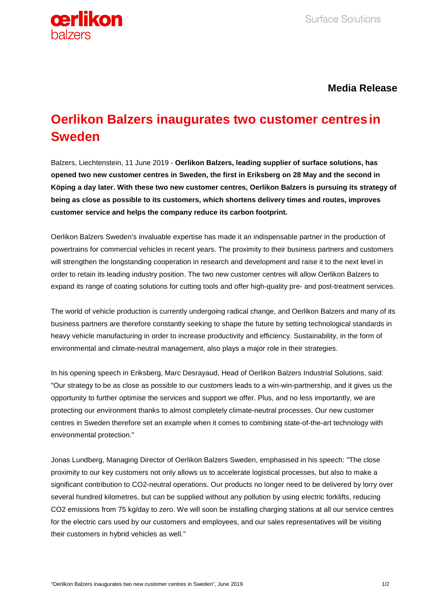

**Media Release**

## **Oerlikon Balzers inaugurates two customer centresin Sweden**

Balzers, Liechtenstein, 11 June 2019 - **Oerlikon Balzers, leading supplier of surface solutions, has opened two new customer centres in Sweden, the first in Eriksberg on 28 May and the second in Köping a day later. With these two new customer centres, Oerlikon Balzers is pursuing its strategy of being as close as possible to its customers, which shortens delivery times and routes, improves customer service and helps the company reduce its carbon footprint.**

Oerlikon Balzers Sweden's invaluable expertise has made it an indispensable partner in the production of powertrains for commercial vehicles in recent years. The proximity to their business partners and customers will strengthen the longstanding cooperation in research and development and raise it to the next level in order to retain its leading industry position. The two new customer centres will allow Oerlikon Balzers to expand its range of coating solutions for cutting tools and offer high-quality pre- and post-treatment services.

The world of vehicle production is currently undergoing radical change, and Oerlikon Balzers and many of its business partners are therefore constantly seeking to shape the future by setting technological standards in heavy vehicle manufacturing in order to increase productivity and efficiency. Sustainability, in the form of environmental and climate-neutral management, also plays a major role in their strategies.

In his opening speech in Eriksberg, Marc Desrayaud, Head of Oerlikon Balzers Industrial Solutions, said: "Our strategy to be as close as possible to our customers leads to a win-win-partnership, and it gives us the opportunity to further optimise the services and support we offer. Plus, and no less importantly, we are protecting our environment thanks to almost completely climate-neutral processes. Our new customer centres in Sweden therefore set an example when it comes to combining state-of-the-art technology with environmental protection."

Jonas Lundberg, Managing Director of Oerlikon Balzers Sweden, emphasised in his speech: "The close proximity to our key customers not only allows us to accelerate logistical processes, but also to make a significant contribution to CO2-neutral operations. Our products no longer need to be delivered by lorry over several hundred kilometres, but can be supplied without any pollution by using electric forklifts, reducing CO2 emissions from 75 kg/day to zero. We will soon be installing charging stations at all our service centres for the electric cars used by our customers and employees, and our sales representatives will be visiting their customers in hybrid vehicles as well."